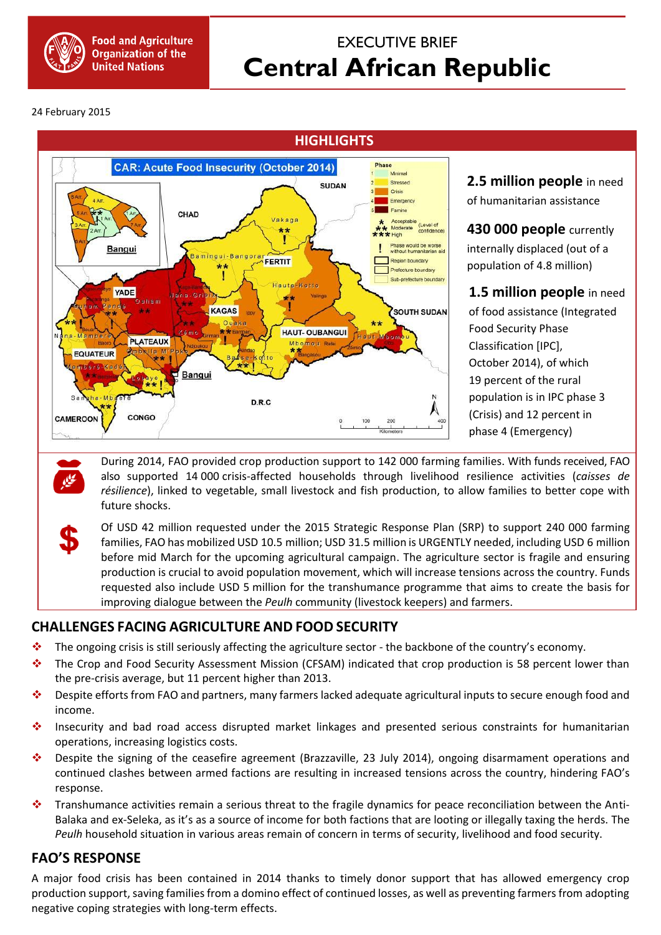

## EXECUTIVE BRIEF **Central African Republic**

24 February 2015



**2.5 million people** in need of humanitarian assistance

**430 000 people** currently internally displaced (out of a population of 4.8 million)

**1.5 million people** in need of food assistance (Integrated Food Security Phase Classification [IPC], October 2014), of which 19 percent of the rural population is in IPC phase 3 (Crisis) and 12 percent in phase 4 (Emergency)

During 2014, FAO provided crop production support to 142 000 farming families. With funds received, FAO also supported 14 000 crisis-affected households through livelihood resilience activities (*caisses de résilience*), linked to vegetable, small livestock and fish production, to allow families to better cope with future shocks.

Of USD 42 million requested under the 2015 Strategic Response Plan (SRP) to support 240 000 farming families, FAO has mobilized USD 10.5 million; USD 31.5 million is URGENTLY needed, including USD 6 million before mid March for the upcoming agricultural campaign. The agriculture sector is fragile and ensuring production is crucial to avoid population movement, which will increase tensions across the country. Funds requested also include USD 5 million for the transhumance programme that aims to create the basis for improving dialogue between the *Peulh* community (livestock keepers) and farmers.

## **CHALLENGES FACING AGRICULTURE AND FOOD SECURITY**

- \* The ongoing crisis is still seriously affecting the agriculture sector the backbone of the country's economy.
- The Crop and Food Security Assessment Mission (CFSAM) indicated that crop production is 58 percent lower than the pre-crisis average, but 11 percent higher than 2013.
- Despite efforts from FAO and partners, many farmers lacked adequate agricultural inputs to secure enough food and income.
- \* Insecurity and bad road access disrupted market linkages and presented serious constraints for humanitarian operations, increasing logistics costs.
- Despite the signing of the ceasefire agreement (Brazzaville, 23 July 2014), ongoing disarmament operations and continued clashes between armed factions are resulting in increased tensions across the country, hindering FAO's response.
- **Transhumance activities remain a serious threat to the fragile dynamics for peace reconciliation between the Anti-**Balaka and ex-Seleka, as it's as a source of income for both factions that are looting or illegally taxing the herds. The *Peulh* household situation in various areas remain of concern in terms of security, livelihood and food security.

## **FAO'S RESPONSE**

A major food crisis has been contained in 2014 thanks to timely donor support that has allowed emergency crop production support, saving families from a domino effect of continued losses, as well as preventing farmers from adopting negative coping strategies with long-term effects.